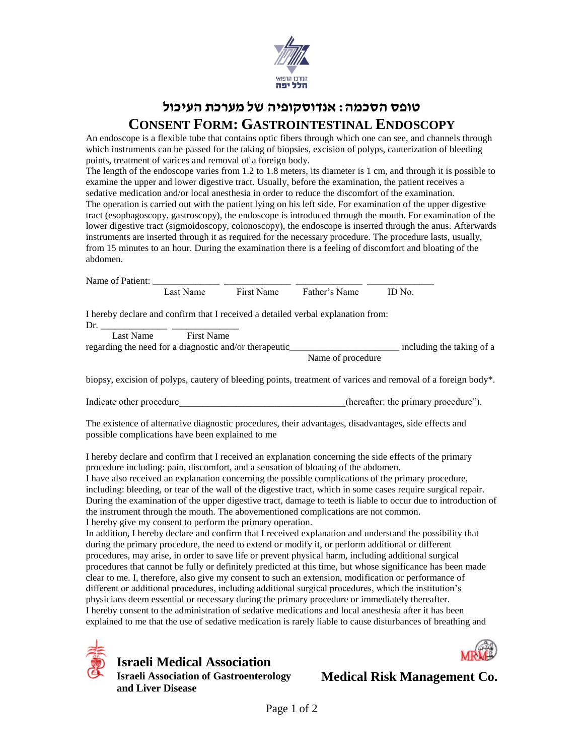

## **טופס הסכמה: אנדוסקופיה של מערכת העיכול CONSENT FORM: GASTROINTESTINAL ENDOSCOPY**

An endoscope is a flexible tube that contains optic fibers through which one can see, and channels through which instruments can be passed for the taking of biopsies, excision of polyps, cauterization of bleeding points, treatment of varices and removal of a foreign body.

The length of the endoscope varies from 1.2 to 1.8 meters, its diameter is 1 cm, and through it is possible to examine the upper and lower digestive tract. Usually, before the examination, the patient receives a sedative medication and/or local anesthesia in order to reduce the discomfort of the examination. The operation is carried out with the patient lying on his left side. For examination of the upper digestive tract (esophagoscopy, gastroscopy), the endoscope is introduced through the mouth. For examination of the lower digestive tract (sigmoidoscopy, colonoscopy), the endoscope is inserted through the anus. Afterwards instruments are inserted through it as required for the necessary procedure. The procedure lasts, usually, from 15 minutes to an hour. During the examination there is a feeling of discomfort and bloating of the abdomen.

|                                                  | Last Name            | First Name                                                 | Father's Name                                                                                     | ID No.                                                                                                         |  |
|--------------------------------------------------|----------------------|------------------------------------------------------------|---------------------------------------------------------------------------------------------------|----------------------------------------------------------------------------------------------------------------|--|
|                                                  |                      |                                                            | I hereby declare and confirm that I received a detailed verbal explanation from:                  |                                                                                                                |  |
|                                                  | Last Name First Name |                                                            |                                                                                                   |                                                                                                                |  |
|                                                  |                      |                                                            |                                                                                                   | regarding the need for a diagnostic and/or therapeutic___________________________ including the taking of a    |  |
|                                                  |                      |                                                            | Name of procedure                                                                                 |                                                                                                                |  |
|                                                  |                      |                                                            |                                                                                                   | biopsy, excision of polyps, cautery of bleeding points, treatment of varices and removal of a foreign body*.   |  |
|                                                  |                      |                                                            |                                                                                                   | Indicate other procedure entering the control of the primary procedure".                                       |  |
| possible complications have been explained to me |                      |                                                            |                                                                                                   | The existence of alternative diagnostic procedures, their advantages, disadvantages, side effects and          |  |
|                                                  |                      |                                                            | procedure including: pain, discomfort, and a sensation of bloating of the abdomen.                | I hereby declare and confirm that I received an explanation concerning the side effects of the primary         |  |
|                                                  |                      |                                                            |                                                                                                   | I have also received an explanation concerning the possible complications of the primary procedure,            |  |
|                                                  |                      |                                                            |                                                                                                   | including: bleeding, or tear of the wall of the digestive tract, which in some cases require surgical repair.  |  |
|                                                  |                      |                                                            |                                                                                                   | During the examination of the upper digestive tract, damage to teeth is liable to occur due to introduction of |  |
|                                                  |                      |                                                            | the instrument through the mouth. The abovementioned complications are not common.                |                                                                                                                |  |
|                                                  |                      | I hereby give my consent to perform the primary operation. |                                                                                                   |                                                                                                                |  |
|                                                  |                      |                                                            |                                                                                                   | In addition, I hereby declare and confirm that I received explanation and understand the possibility that      |  |
|                                                  |                      |                                                            | during the primary procedure, the need to extend or modify it, or perform additional or different | procedures, may arise, in order to save life or prevent physical harm, including additional surgical           |  |
|                                                  |                      |                                                            |                                                                                                   | procedures that cannot be fully or definitely predicted at this time, but whose significance has been made     |  |
|                                                  |                      |                                                            |                                                                                                   | clear to me. I, therefore, also give my consent to such an extension, modification or performance of           |  |
|                                                  |                      |                                                            |                                                                                                   | different or additional procedures, including additional surgical procedures, which the institution's          |  |

different or additional procedures, including additional surgical procedures, which the institution's physicians deem essential or necessary during the primary procedure or immediately thereafter. I hereby consent to the administration of sedative medications and local anesthesia after it has been explained to me that the use of sedative medication is rarely liable to cause disturbances of breathing and



**Israeli Medical Association Israeli Association of Gastroenterology and Liver Disease**

**Medical Risk Management Co.**